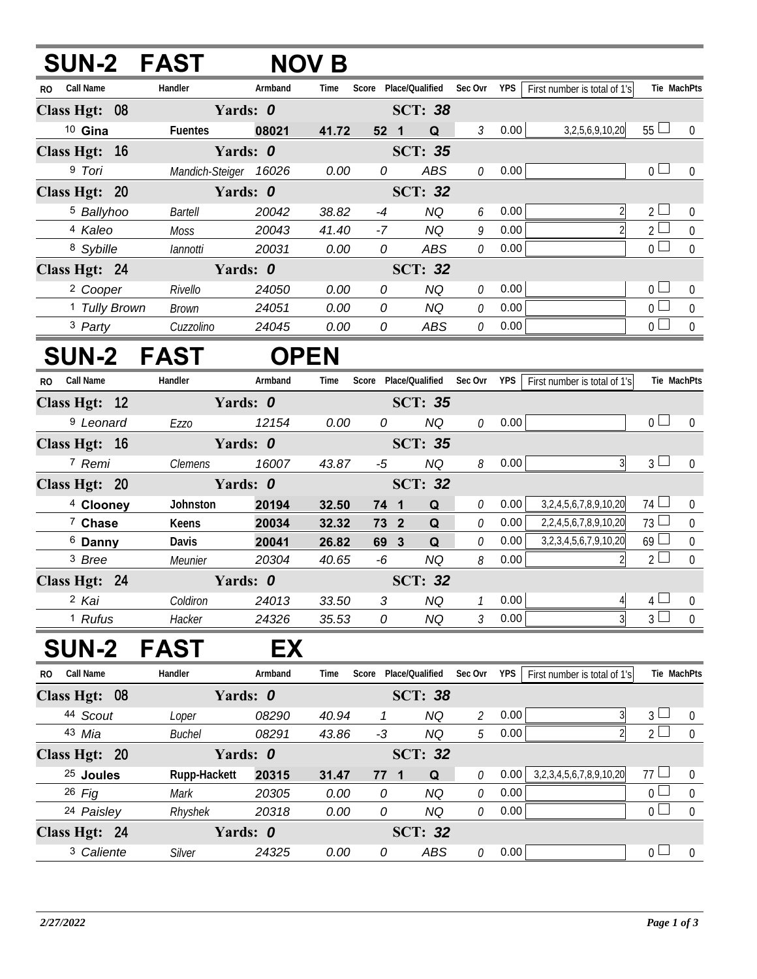|                          | <b>SUN-2 FAST</b> |                       | <b>NOV B</b> |                       |  |                |                                   |      |                                            |                                 |                  |
|--------------------------|-------------------|-----------------------|--------------|-----------------------|--|----------------|-----------------------------------|------|--------------------------------------------|---------------------------------|------------------|
| RO Call Name             | Handler           | Armband               | Time         |                       |  |                | Score Place/Qualified Sec Ovr YPS |      | First number is total of 1's               | Tie MachPts                     |                  |
| Class Hgt: 08            |                   | Yards: 0              |              |                       |  | <b>SCT: 38</b> |                                   |      |                                            |                                 |                  |
| <sup>10</sup> Gina       | <b>Fuentes</b>    | 08021                 | 41.72        | 52 <sub>1</sub>       |  | $\Omega$       | $\mathfrak{Z}$                    | 0.00 | 3, 2, 5, 6, 9, 10, 20                      | 55L                             | $\Omega$         |
| Class Hgt: 16            |                   | Yards: 0              |              |                       |  | <b>SCT: 35</b> |                                   |      |                                            |                                 |                  |
| 9 Tori                   |                   | Mandich-Steiger 16026 | 0.00         | 0                     |  | <b>ABS</b>     | 0                                 | 0.00 |                                            | 0 <sub>0</sub>                  | $\overline{0}$   |
| Class Hgt: 20            |                   | Yards: 0              |              |                       |  | <b>SCT: 32</b> |                                   |      |                                            |                                 |                  |
| <sup>5</sup> Ballyhoo    | <b>Bartell</b>    | 20042                 | 38.82        | $-4$                  |  | <b>NQ</b>      | 6                                 | 0.00 | $\overline{2}$                             | 2 <sup>1</sup>                  | $\boldsymbol{0}$ |
| 4 Kaleo                  | <b>Moss</b>       | 20043                 | 41.40        | $-7$                  |  | <b>NQ</b>      | 9                                 | 0.00 |                                            | $2^{\lfloor}$<br>$\Box$         | $\boldsymbol{0}$ |
| 8 Sybille                | lannotti          | 20031                 | 0.00         | $\overline{O}$        |  | <b>ABS</b>     | 0                                 | 0.00 |                                            | $\overline{0}$                  | $\overline{0}$   |
| Class Hgt: 24            |                   | Yards: 0              |              |                       |  | <b>SCT: 32</b> |                                   |      |                                            |                                 |                  |
| <sup>2</sup> Cooper      | Rivello           | 24050                 | 0.00         | 0                     |  | <b>NQ</b>      | 0                                 | 0.00 |                                            | $0^{\square}$                   | $\overline{0}$   |
| <sup>1</sup> Tully Brown | <b>Brown</b>      | 24051                 | 0.00         | 0                     |  | <b>NQ</b>      | 0                                 | 0.00 |                                            | $\mathcal{L}$<br>0 <sup>1</sup> | $\boldsymbol{0}$ |
| 3 Party                  | Cuzzolino         | 24045                 | 0.00         | 0                     |  | <b>ABS</b>     | $\mathcal O$                      | 0.00 |                                            | 0 <sup>1</sup>                  | $\mathbf 0$      |
|                          | <b>SUN-2 FAST</b> | <b>OPEN</b>           |              |                       |  |                |                                   |      |                                            |                                 |                  |
| RO Call Name             | Handler           | Armband               | Time         | Score Place/Qualified |  |                |                                   |      | Sec Ovr YPS   First number is total of 1's | Tie MachPts                     |                  |
| Class Hgt: 12            |                   | Yards: 0              |              | <b>SCT: 35</b>        |  |                |                                   |      |                                            |                                 |                  |
| <sup>9</sup> Leonard     | <b>Ezzo</b>       | 12154                 | 0.00         | 0                     |  | <b>NQ</b>      | 0                                 | 0.00 |                                            | 0 <sub>l</sub>                  | $\overline{0}$   |
| Class Hgt: 16            |                   | Yards: 0              |              |                       |  | <b>SCT: 35</b> |                                   |      |                                            |                                 |                  |
| 7 Remi                   | <b>Clemens</b>    | 16007                 | 43.87        | -5                    |  | <b>NQ</b>      | 8                                 | 0.00 | 3                                          | $3 \Box$                        | $\mathbf{0}$     |
| Class Hgt: 20            |                   | Yards: 0              |              |                       |  | <b>SCT: 32</b> |                                   |      |                                            |                                 |                  |
| <sup>4</sup> Clooney     | Johnston          | 20194                 | 32.50        | 74 1                  |  | Q              | 0                                 | 0.00 | 3,2,4,5,6,7,8,9,10,20                      | $74 \Box$                       | $\overline{0}$   |
| 7 Chase                  | Keens             | 20034                 | 32.32        | 73 2                  |  | $\mathbf Q$    | 0                                 | 0.00 | 2,2,4,5,6,7,8,9,10,20                      | $73\Box$                        | $\boldsymbol{0}$ |
| <sup>6</sup> Danny       | Davis             | 20041                 | 26.82        | 69 3                  |  | Q              | 0                                 | 0.00 | 3,2,3,4,5,6,7,9,10,20                      | $69 \Box$                       | $\boldsymbol{0}$ |
| <sup>3</sup> Bree        | Meunier           | 20304                 | 40.65        | $-6$                  |  | <b>NQ</b>      | 8                                 | 0.00 | $\mathcal{D}$                              | $2\Box$                         | $\overline{0}$   |
| Class Hgt: 24            |                   | Yards: 0              |              |                       |  | <b>SCT: 32</b> |                                   |      |                                            |                                 |                  |
| 2 Kai                    | Coldiron          | 24013                 | 33.50        | 3                     |  | <b>NQ</b>      | $\mathcal{I}$                     | 0.00 | $\overline{4}$                             | 4 <sup>1</sup>                  | 0                |
| <sup>1</sup> Rufus       | Hacker            | 24326                 | 35.53        | 0                     |  | <b>NQ</b>      | 3                                 | 0.00 |                                            | 3 <sup>1</sup>                  | $\overline{0}$   |

## **SUN-2 FAST EX**

| Call Name<br>R <sub>0</sub> | Handler       | Armband  | Time  | Score          | Place/Oualified | Sec Ovr  | <b>YPS</b> | First number is total of 1's      |                      | Tie MachPts |
|-----------------------------|---------------|----------|-------|----------------|-----------------|----------|------------|-----------------------------------|----------------------|-------------|
| Class Hgt: 08               | Yards: 0      |          |       |                | <b>SCT: 38</b>  |          |            |                                   |                      |             |
| 44 Scout                    | Loper         | 08290    | 40.94 |                | ΝQ              | 2        | 0.00       |                                   | 3                    | $\Omega$    |
| 43 Mia                      | <b>Buchel</b> | 08291    | 43.86 | -3             | ΝQ              | 5        | 0.00       |                                   | $2 -$                |             |
| Class Hgt: 20               | Yards: 0      |          |       | <b>SCT: 32</b> |                 |          |            |                                   |                      |             |
| <sup>25</sup> Joules        | Rupp-Hackett  | 20315    | 31.47 | 77             | Q<br>- 1        | 0        | 0.00       | 3, 2, 3, 4, 5, 6, 7, 8, 9, 10, 20 | 77<br>$\mathbb{R}^2$ | $\Omega$    |
| $26$ Fig                    | Mark          | 20305    | 0.00  | 0              | ΝQ              | 0        | 0.00       |                                   | 0                    |             |
| 24 Paisley                  | Rhyshek       | 20318    | 0.00  | 0              | NQ              | 0        | 0.00       |                                   | $\Omega$             | $\Omega$    |
| Class Hgt: 24               |               | Yards: 0 |       |                | SCT: 32         |          |            |                                   |                      |             |
| <sup>3</sup> Caliente       | Silver        | 24325    | 0.00  | 0              | ABS             | $\theta$ | 0.00       |                                   | 0                    |             |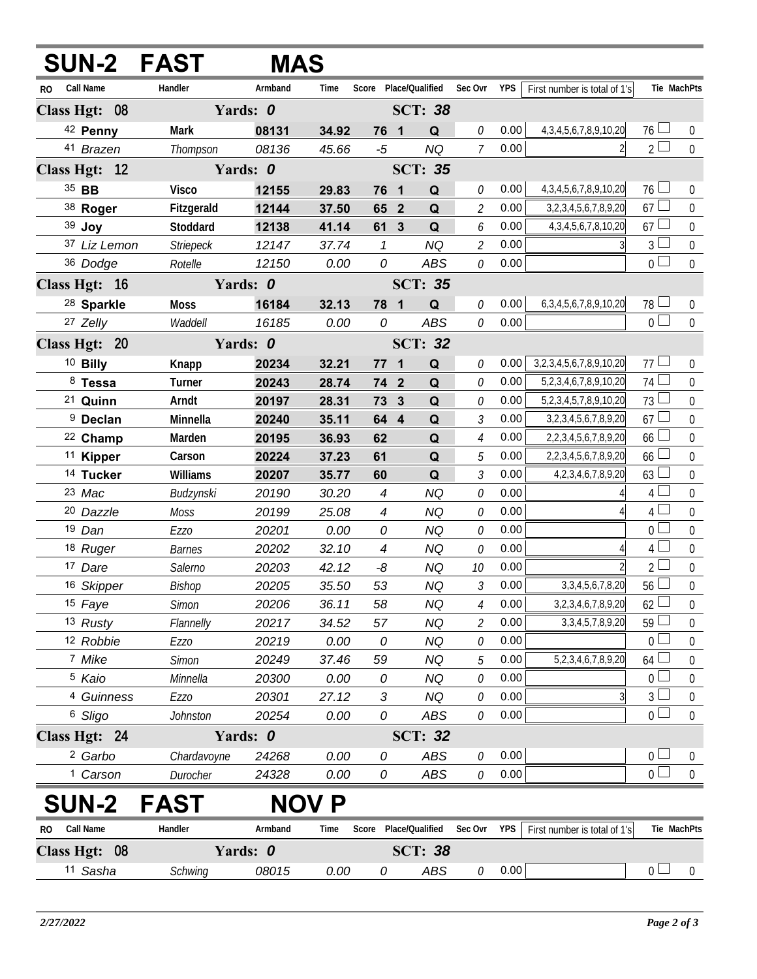|                               |              | <b>SUN-2 FAST</b> | <b>MAS</b> |       |                          |                         |                 |                                   |      |                                   |                |                  |
|-------------------------------|--------------|-------------------|------------|-------|--------------------------|-------------------------|-----------------|-----------------------------------|------|-----------------------------------|----------------|------------------|
| Call Name<br>RO.              |              | Handler           | Armband    | Time  |                          |                         |                 | Score Place/Qualified Sec Ovr YPS |      | First number is total of 1's      |                | Tie MachPts      |
| Class Hgt: 08                 |              |                   | Yards: 0   |       |                          |                         | <b>SCT: 38</b>  |                                   |      |                                   |                |                  |
| 42 Penny                      |              | <b>Mark</b>       | 08131      | 34.92 | 76 1                     |                         | Q               | 0                                 | 0.00 | 4, 3, 4, 5, 6, 7, 8, 9, 10, 20    | $76 \perp$     | $\overline{0}$   |
| 41 Brazen                     |              | Thompson          | 08136      | 45.66 | $-5$                     |                         | <b>NQ</b>       | $\overline{7}$                    | 0.00 |                                   | 2 <sup>1</sup> | $\overline{0}$   |
| Class Hgt: 12                 |              |                   | Yards: 0   |       |                          |                         | <b>SCT: 35</b>  |                                   |      |                                   |                |                  |
| 35 BB                         |              | <b>Visco</b>      | 12155      | 29.83 | 76 1                     |                         | Q               | 0                                 | 0.00 | 4, 3, 4, 5, 6, 7, 8, 9, 10, 20    | $76 -$         | 0                |
| 38 Roger                      |              | Fitzgerald        | 12144      | 37.50 | 65 2                     |                         | Q               | $\overline{\mathcal{L}}$          | 0.00 | 3, 2, 3, 4, 5, 6, 7, 8, 9, 20     | 67             | $\overline{0}$   |
| 39 Joy                        |              | Stoddard          | 12138      | 41.14 | 61 3                     |                         | Q               | 6                                 | 0.00 | 4, 3, 4, 5, 6, 7, 8, 10, 20       | 67             | $\boldsymbol{0}$ |
|                               | 37 Liz Lemon | Striepeck         | 12147      | 37.74 | $\mathcal I$             |                         | <b>NQ</b>       | $\overline{2}$                    | 0.00 |                                   | $\overline{3}$ | $\mathbf 0$      |
| 36 Dodge                      |              | Rotelle           | 12150      | 0.00  | 0                        |                         | ABS             | 0                                 | 0.00 |                                   | 0 <sup>1</sup> | $\overline{0}$   |
| Class Hgt: 16                 |              |                   | Yards: 0   |       |                          |                         | <b>SCT: 35</b>  |                                   |      |                                   |                |                  |
| <sup>28</sup> Sparkle         |              | <b>Moss</b>       | 16184      | 32.13 | 78 1                     |                         | Q               | 0                                 | 0.00 | 6, 3, 4, 5, 6, 7, 8, 9, 10, 20    | 78             | 0                |
| 27 Zelly                      |              | Waddell           | 16185      | 0.00  | 0                        |                         | <b>ABS</b>      | 0                                 | 0.00 |                                   | $\overline{0}$ | $\overline{0}$   |
| Class Hgt: 20                 |              |                   | Yards: 0   |       |                          |                         | <b>SCT: 32</b>  |                                   |      |                                   |                |                  |
| <sup>10</sup> Billy           |              | Knapp             | 20234      | 32.21 | 77                       | $\overline{\mathbf{1}}$ | Q               | 0                                 | 0.00 | 3, 2, 3, 4, 5, 6, 7, 8, 9, 10, 20 | 77             | 0                |
| 8 Tessa                       |              | Turner            | 20243      | 28.74 | 74 2                     |                         | Q               | 0                                 | 0.00 | 5,2,3,4,6,7,8,9,10,20             | 74             | $\mathbf 0$      |
| <sup>21</sup> Quinn           |              | Arndt             | 20197      | 28.31 | 73                       | $\mathbf{3}$            | Q               | 0                                 | 0.00 | 5,2,3,4,5,7,8,9,10,20             | 73             | $\overline{0}$   |
| <sup>9</sup> Declan           |              | Minnella          | 20240      | 35.11 | 64 4                     |                         | Q               | 3                                 | 0.00 | 3, 2, 3, 4, 5, 6, 7, 8, 9, 20     | 67             | $\mathbf 0$      |
| <sup>22</sup> Champ           |              | Marden            | 20195      | 36.93 | 62                       |                         | Q               | $\overline{4}$                    | 0.00 | 2, 2, 3, 4, 5, 6, 7, 8, 9, 20     | 66             | $\mathbf 0$      |
| <sup>11</sup> Kipper          |              | Carson            | 20224      | 37.23 | 61                       |                         | Q               | 5                                 | 0.00 | 2, 2, 3, 4, 5, 6, 7, 8, 9, 20     | 66             | $\mathbf 0$      |
| <sup>14</sup> Tucker          |              | Williams          | 20207      | 35.77 | 60                       |                         | Q               | $\mathfrak{Z}$                    | 0.00 | 4, 2, 3, 4, 6, 7, 8, 9, 20        | 63             | $\mathbf 0$      |
| 23 Mac                        |              | Budzynski         | 20190      | 30.20 | $\overline{\mathcal{A}}$ |                         | <b>NQ</b>       | 0                                 | 0.00 |                                   | 4 <sup>1</sup> | $\boldsymbol{0}$ |
| <sup>20</sup> Dazzle          |              | Moss              | 20199      | 25.08 | $\overline{\mathcal{A}}$ |                         | <b>NQ</b>       | 0                                 | 0.00 |                                   | $\overline{4}$ | $\mathbf 0$      |
| 19 Dan                        |              | <b>Ezzo</b>       | 20201      | 0.00  | 0                        |                         | <b>NQ</b>       | 0                                 | 0.00 |                                   | $\overline{0}$ | $\mathbf 0$      |
| 18 Ruger                      |              | <b>Barnes</b>     | 20202      | 32.10 | $\overline{\mathcal{A}}$ |                         | <b>NQ</b>       | 0                                 | 0.00 | 4                                 | 4              | $\mathbf 0$      |
| 17 Dare                       |              | Salerno           | 20203      | 42.12 | -8                       |                         | <b>NQ</b>       | 10                                | 0.00 |                                   | $\overline{2}$ | $\mathbf 0$      |
| 16 Skipper                    |              | Bishop            | 20205      | 35.50 | 53                       |                         | <b>NQ</b>       | $\mathfrak{Z}$                    | 0.00 | 3, 3, 4, 5, 6, 7, 8, 20           | 56             | $\boldsymbol{0}$ |
| 15 Faye                       |              | Simon             | 20206      | 36.11 | 58                       |                         | <b>NQ</b>       | $\overline{4}$                    | 0.00 | 3, 2, 3, 4, 6, 7, 8, 9, 20        | 62             | $\boldsymbol{0}$ |
| 13 Rusty                      |              | Flannelly         | 20217      | 34.52 | 57                       |                         | <b>NQ</b>       | 2                                 | 0.00 | 3, 3, 4, 5, 7, 8, 9, 20           | 59             | $\boldsymbol{0}$ |
| 12 Robbie                     |              | <b>Ezzo</b>       | 20219      | 0.00  | 0                        |                         | <b>NQ</b>       | 0                                 | 0.00 |                                   | $\overline{0}$ | $\boldsymbol{0}$ |
| 7 Mike                        |              | <b>Simon</b>      | 20249      | 37.46 | 59                       |                         | <b>NQ</b>       | 5                                 | 0.00 | 5, 2, 3, 4, 6, 7, 8, 9, 20        | 64             | $\boldsymbol{0}$ |
| <sup>5</sup> Kaio             |              | Minnella          | 20300      | 0.00  | 0                        |                         | <b>NQ</b>       | 0                                 | 0.00 |                                   | $\overline{0}$ | $\boldsymbol{0}$ |
|                               | 4 Guinness   | <b>Ezzo</b>       | 20301      | 27.12 | 3                        |                         | <b>NQ</b>       | 0                                 | 0.00 | 3                                 | $\mathfrak{Z}$ | $\boldsymbol{0}$ |
| <sup>6</sup> Sligo            |              | Johnston          | 20254      | 0.00  | 0                        |                         | <b>ABS</b>      | 0                                 | 0.00 |                                   | $0\perp$       | $\mathbf 0$      |
| Class Hgt: 24                 |              |                   | Yards: 0   |       |                          |                         | <b>SCT: 32</b>  |                                   |      |                                   |                |                  |
| <sup>2</sup> Garbo            |              | Chardavoyne       | 24268      | 0.00  | 0                        |                         | ABS             | 0                                 | 0.00 |                                   | $0-$           | 0                |
| <sup>1</sup> Carson           |              | Durocher          | 24328      | 0.00  | 0                        |                         | ABS             | 0                                 | 0.00 |                                   | 0 <sub>0</sub> | $\mathbf 0$      |
| <b>SUN-2</b>                  |              | <b>FAST</b>       | <b>NOV</b> | P     |                          |                         |                 |                                   |      |                                   |                |                  |
| <b>Call Name</b><br><b>RO</b> |              | Handler           | Armband    | Time  | Score                    |                         | Place/Qualified | Sec Ovr                           | YPS  | First number is total of 1's      |                | Tie MachPts      |
| Class Hgt: 08                 |              |                   | Yards: 0   |       |                          |                         | <b>SCT: 38</b>  |                                   |      |                                   |                |                  |
| 11 Sasha                      |              | Schwing           | 08015      | 0.00  | 0                        |                         | ABS             | 0                                 | 0.00 |                                   | 0 <sub>0</sub> | $\mathbf 0$      |